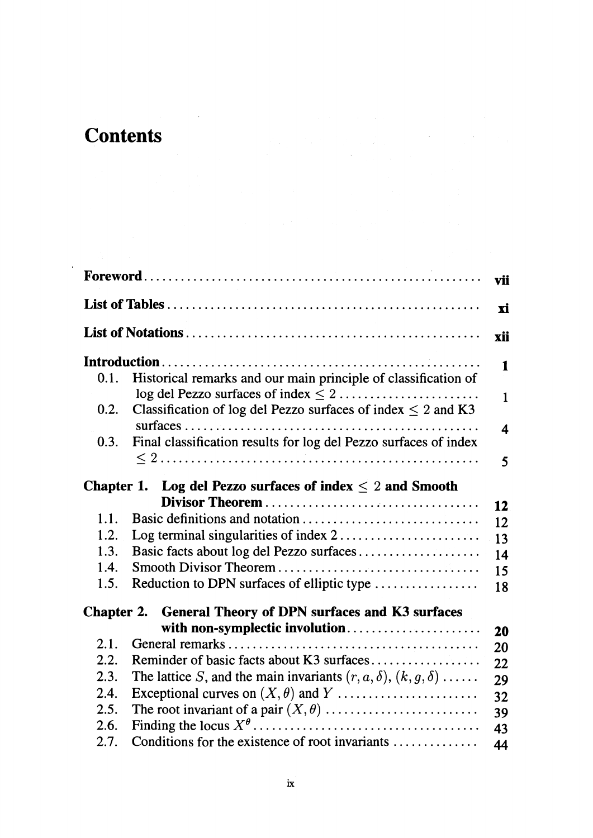## **Contents**

 $\mathcal{L}_{\text{max}}$ 

| vii                                                                        |                                                                            |                         |  |
|----------------------------------------------------------------------------|----------------------------------------------------------------------------|-------------------------|--|
|                                                                            |                                                                            | xi                      |  |
|                                                                            |                                                                            | xii                     |  |
|                                                                            |                                                                            | 1                       |  |
| 0.1.                                                                       | Historical remarks and our main principle of classification of             |                         |  |
|                                                                            |                                                                            | $\mathbf{1}$            |  |
| 0.2.                                                                       | Classification of log del Pezzo surfaces of index $\leq 2$ and K3          |                         |  |
| 0.3.                                                                       | Final classification results for log del Pezzo surfaces of index           | $\overline{\mathbf{4}}$ |  |
|                                                                            |                                                                            | 5                       |  |
|                                                                            |                                                                            |                         |  |
| Chapter 1. Log del Pezzo surfaces of index $\leq 2$ and Smooth             |                                                                            |                         |  |
|                                                                            |                                                                            | 12                      |  |
| 1.1.                                                                       |                                                                            | 12                      |  |
| 1.2.                                                                       | Log terminal singularities of index 2                                      | 13                      |  |
| 1.3.                                                                       | Basic facts about log del Pezzo surfaces                                   | 14                      |  |
| 1.4.                                                                       |                                                                            | 15                      |  |
| 1.5.                                                                       | Reduction to DPN surfaces of elliptic type                                 | 18                      |  |
| <b>General Theory of DPN surfaces and K3 surfaces</b><br><b>Chapter 2.</b> |                                                                            |                         |  |
|                                                                            | with non-symplectic involution                                             | 20                      |  |
| 2.1.                                                                       |                                                                            | 20                      |  |
| 2.2.                                                                       | Reminder of basic facts about K3 surfaces                                  | 22                      |  |
| 2.3.                                                                       | The lattice S, and the main invariants $(r, a, \delta)$ , $(k, g, \delta)$ | 29                      |  |
| 2.4.                                                                       | Exceptional curves on $(X, \theta)$ and $Y$                                | 32                      |  |
| 2.5.                                                                       |                                                                            | 39                      |  |
| 2.6.                                                                       |                                                                            | 43                      |  |
| 2.7.                                                                       | Conditions for the existence of root invariants                            | 44                      |  |
|                                                                            |                                                                            |                         |  |

 $\label{eq:2.1} \frac{1}{\sqrt{2}}\left(\frac{1}{\sqrt{2}}\right)^{2} \left(\frac{1}{\sqrt{2}}\right)^{2} \left(\frac{1}{\sqrt{2}}\right)^{2} \left(\frac{1}{\sqrt{2}}\right)^{2} \left(\frac{1}{\sqrt{2}}\right)^{2} \left(\frac{1}{\sqrt{2}}\right)^{2} \left(\frac{1}{\sqrt{2}}\right)^{2} \left(\frac{1}{\sqrt{2}}\right)^{2} \left(\frac{1}{\sqrt{2}}\right)^{2} \left(\frac{1}{\sqrt{2}}\right)^{2} \left(\frac{1}{\sqrt{2}}\right)^{2} \left(\$